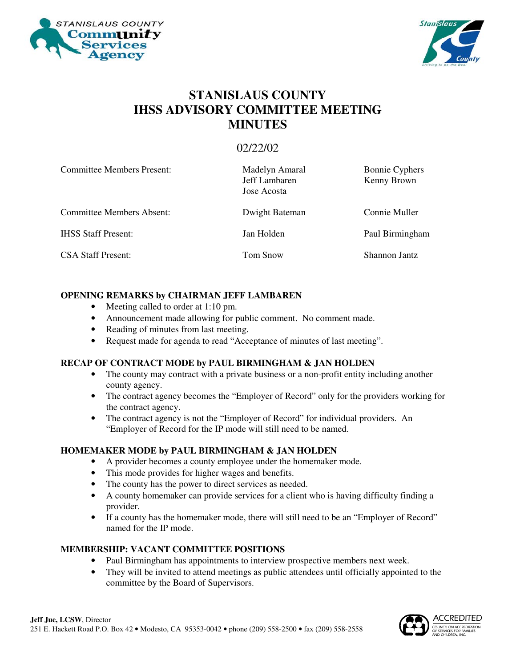



## **STANISLAUS COUNTY IHSS ADVISORY COMMITTEE MEETING MINUTES**

### 02/22/02

| <b>Committee Members Present:</b> | Madelyn Amaral<br>Jeff Lambaren<br>Jose Acosta | <b>Bonnie Cyphers</b><br>Kenny Brown |
|-----------------------------------|------------------------------------------------|--------------------------------------|
| <b>Committee Members Absent:</b>  | Dwight Bateman                                 | Connie Muller                        |
| <b>IHSS Staff Present:</b>        | Jan Holden                                     | Paul Birmingham                      |
| <b>CSA Staff Present:</b>         | Tom Snow                                       | Shannon Jantz                        |

#### **OPENING REMARKS by CHAIRMAN JEFF LAMBAREN**

- Meeting called to order at 1:10 pm.
- Announcement made allowing for public comment. No comment made.
- Reading of minutes from last meeting.
- Request made for agenda to read "Acceptance of minutes of last meeting".

#### **RECAP OF CONTRACT MODE by PAUL BIRMINGHAM & JAN HOLDEN**

- The county may contract with a private business or a non-profit entity including another county agency.
- The contract agency becomes the "Employer of Record" only for the providers working for the contract agency.
- The contract agency is not the "Employer of Record" for individual providers. An "Employer of Record for the IP mode will still need to be named.

#### **HOMEMAKER MODE by PAUL BIRMINGHAM & JAN HOLDEN**

- A provider becomes a county employee under the homemaker mode.
- This mode provides for higher wages and benefits.
- The county has the power to direct services as needed.
- A county homemaker can provide services for a client who is having difficulty finding a provider.
- If a county has the homemaker mode, there will still need to be an "Employer of Record" named for the IP mode.

#### **MEMBERSHIP: VACANT COMMITTEE POSITIONS**

- Paul Birmingham has appointments to interview prospective members next week.
- They will be invited to attend meetings as public attendees until officially appointed to the committee by the Board of Supervisors.

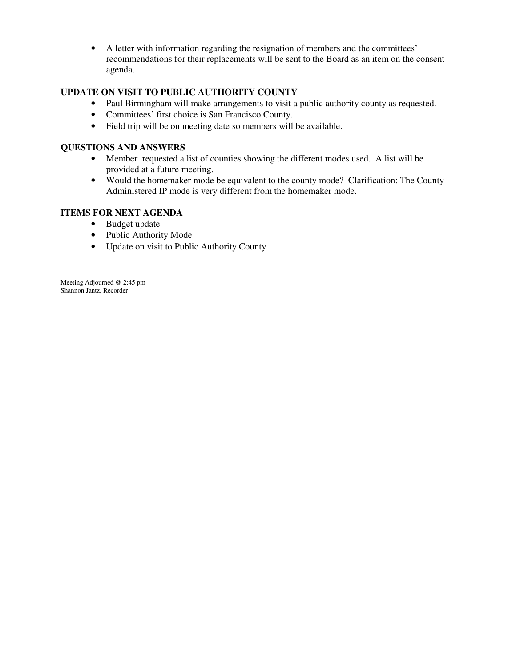• A letter with information regarding the resignation of members and the committees' recommendations for their replacements will be sent to the Board as an item on the consent agenda.

#### **UPDATE ON VISIT TO PUBLIC AUTHORITY COUNTY**

- Paul Birmingham will make arrangements to visit a public authority county as requested.
- Committees' first choice is San Francisco County.
- Field trip will be on meeting date so members will be available.

#### **QUESTIONS AND ANSWERS**

- Member requested a list of counties showing the different modes used. A list will be provided at a future meeting.
- Would the homemaker mode be equivalent to the county mode? Clarification: The County Administered IP mode is very different from the homemaker mode.

#### **ITEMS FOR NEXT AGENDA**

- Budget update
- Public Authority Mode
- Update on visit to Public Authority County

Meeting Adjourned @ 2:45 pm Shannon Jantz, Recorder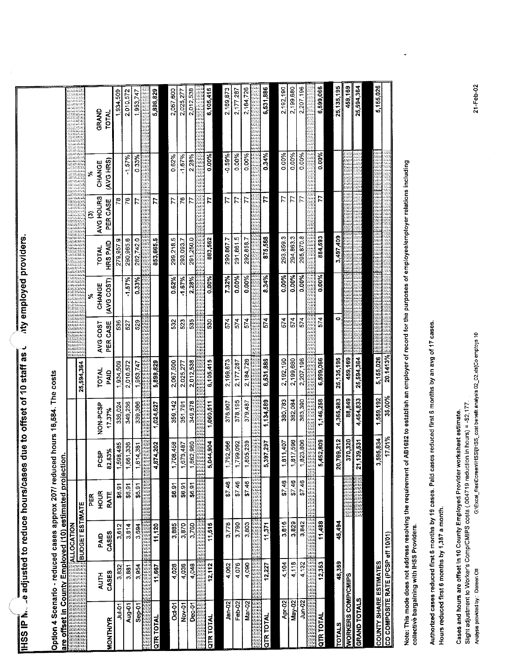|                                                                               |                      |                           |              |                     |                                    |                      |                      | aty employed providers |                                |                       |                     |                       |
|-------------------------------------------------------------------------------|----------------------|---------------------------|--------------|---------------------|------------------------------------|----------------------|----------------------|------------------------|--------------------------------|-----------------------|---------------------|-----------------------|
| <b>IHSS IP N. e adjusted to reduce hours/case</b>                             |                      |                           |              |                     | s due to offset of 10 staff as $l$ |                      |                      |                        |                                |                       |                     |                       |
| Option 4 Scenario - reduced cases approx 207/ reduced hours 16,584. The costs |                      |                           |              |                     |                                    |                      |                      |                        |                                |                       |                     |                       |
| are offset in County Employed (10) estimated projection                       |                      | <b>ALLOCATION</b>         |              |                     |                                    |                      |                      |                        |                                |                       |                     |                       |
|                                                                               |                      | <b>Example T ESTIMATE</b> |              |                     |                                    | 25,594,364           | JAN AL               |                        |                                |                       |                     |                       |
|                                                                               |                      |                           | PER          |                     |                                    |                      |                      | ৯                      |                                | O                     | ż                   |                       |
| <b>MONTHAR</b>                                                                | CASES<br><b>AUTH</b> | CASES<br>PAID             | HOUR<br>RATE | 82.63%<br>PCSP      | NON-PCSP<br>17.37%                 | <b>TOTAL</b><br>PAID | PER CASE<br>AVG COST | (AVG COST)<br>CHANGE   | <b>HRSPAID</b><br><b>TOTAL</b> | AVG HOURS<br>PER CASE | (AVG HRS)<br>CHANGE | GRAND<br><b>TOTAL</b> |
| <b>Pollut</b>                                                                 | 3,832                | 3.612                     | \$6.91       | 1,598,485           | 336,024                            | 1,934,509            | 536                  |                        | 279,957.9                      | 78                    |                     | 1,934,509             |
| Aug-01                                                                        | 3,881                | 3,814                     | \$6.91       | 1,661,336           | 349,236                            | 2,010,572            | 527                  | $-1.57%$               | 290,965.6                      | 76                    | $-1.57%$            | 2,010,572             |
| Sep-01                                                                        | 3,954                | 3,694                     | \$6.91       | 1,614,381           | 339,366                            | 1,953,747            | 529                  | 0.33%                  | 282,742.0                      |                       | 0.33%               | ,953,747              |
|                                                                               |                      |                           |              | us.                 |                                    |                      |                      |                        |                                |                       |                     |                       |
| <b>QTR TOTAL</b>                                                              | 11,667               | 11,120                    |              | 4,874,202           | 1,024,627                          | 5,898,829            |                      |                        | 853,665.5                      | 77                    |                     | 5,898,829             |
|                                                                               |                      |                           |              |                     |                                    |                      |                      |                        |                                |                       |                     |                       |
| $Oct-01$                                                                      | 4,028                | 3,885                     | \$6.91       | 1,708,458           | 359,142                            | 2,067,600            | 532                  | 0.62%                  | 299,218.5                      | 77                    | 0.62%               | 2,067,600             |
| <b>Nov-01</b>                                                                 | 4,036                | 3.870                     | \$6.91       | 1.673,487           | 351,791                            | 2,025,277            | 523                  | $-1.67%$               | 293,093.7                      | 76                    | $-1.67%$            | 2,025,277             |
| $Dec-01$                                                                      | 4,048                | 3,760                     | \$6.91       | 1,662,960           | 349,578                            | 2,012,538            | 535                  | 2.28%                  | 291,250.0                      | 77                    | 2.28%               | 2,012,538             |
|                                                                               |                      |                           |              | iill<br>illi<br>rit |                                    |                      |                      |                        |                                |                       |                     |                       |
| <b>QTR TOTAL</b>                                                              | 12,112               | 11,515                    |              | 5,044,904           | 1,060,511                          | 6,105,415            | 530                  | 0.00%                  | 883,562                        | <b>Z</b>              | 0.00%               | 6,105,415             |
|                                                                               |                      |                           |              |                     |                                    |                      |                      |                        |                                |                       |                     |                       |
| Jan-02                                                                        | 4,062                | 3,778                     | \$7,46       | 1,792,966           | 376,907                            | 2,169,873            | 574                  | 7.32%                  | 290,867.7                      | 77                    | 0.59%               | 2,169,873             |
| $Feb-02$                                                                      | 4,076                | 3,790                     | \$7.46       | 1,799,092           | 378,195                            | 2,177,287            | 574                  | 0.00%                  | 291,861.5                      | 77                    | 0.00%               | 2.177.287             |
| Mar-02                                                                        | 4.090                | 3,803                     | \$7.46       | 1,805,239           | 379,487                            | 2,184725             | 574                  | 0.00%                  | 292,858.7                      | 77                    | 0.00%               | 2,184,726             |
|                                                                               |                      |                           |              |                     |                                    |                      |                      |                        |                                |                       |                     |                       |
| <b>QTR TOTAL</b>                                                              | 12,227               | 11,371                    |              | 5,397,297           | 1,134,589                          | 6,531,886            | $5-4$                | 8.34%                  | 875,588                        | 1.                    | 0.34%               | 6,531,886             |
|                                                                               |                      |                           |              |                     |                                    |                      |                      |                        |                                |                       |                     |                       |
| Apr-02                                                                        | 4,104                | 3,816                     | \$7.46       | 1,811,407           | 380,783                            | 2,192.190            | 574                  | 0.00%                  | 293,859.3                      | 77                    | 0.00%               | 2,192,190             |
| May-02                                                                        | 4.118                | 3,829                     | \$7.46       | 1,817,596           | 382,084                            | 2,199 680            | 574                  | 0.00%                  | 294,863.3                      | 77                    | 0.00%               | 2199,680              |
| Jun-02                                                                        | 4132                 | 3,842                     | \$746        | 1823,806            | 383,390                            | 2,207.196            | 574                  | 0.00%                  | 295,870.8                      | 77                    | 0.00%               | 2,207,196             |
|                                                                               |                      |                           |              |                     |                                    |                      |                      |                        |                                |                       |                     |                       |
| QTR TOTAL                                                                     | 12,353               | 11,488                    |              | 5,452,809           | 1,146,258                          | 6,599,066            | $5-4$                | 0.00%                  | 884,593                        | Ļ.                    | 0.00%               | 6,599,066             |
|                                                                               |                      |                           |              |                     |                                    |                      | o                    |                        | 3,497,409                      |                       |                     | 25,135,195            |
| <b>TOTALS</b>                                                                 | 48,359               | 45,494                    |              | 20,769,212          | 4,365,983                          | 25,135,195           |                      |                        |                                |                       |                     |                       |
| <b>WORKERS COMP/CMIPS</b>                                                     |                      |                           |              | 370,320             | 88,849                             | 459,169              |                      |                        |                                |                       |                     | 459,169               |
| <b>GRAND TOTALS</b>                                                           |                      |                           |              | 21,139,531          | 4,454,833                          | 25,594,364           |                      |                        |                                |                       |                     | 25,594,364            |
|                                                                               |                      |                           |              |                     |                                    |                      |                      |                        |                                |                       |                     |                       |
| <b>COUNTY SHARE ESTIMATES</b>                                                 |                      |                           |              | 3,595,834           | 1,559.192                          | 5,155,026            |                      |                        |                                |                       |                     | 5,155,026             |
| CO COMPOSITE RATE (PCSP eff 10/01)                                            |                      |                           |              | 17.01%              | 35.00%                             | 20.1413%             |                      |                        |                                |                       |                     |                       |

Note: This mode does not address resolving the requirement of AB1682 to estabilsh an employer of record for the purposes of employee/employer relations including<br>collective bargaining with HSS Providers.

Authorized cases reduced first 6 months by 19 cases. Paid cases reduced first 6 months by an avg of 17 cases. Hours reduced first 6 months by 1,387 a month.

Slight adjustment to Worker's Comp/CMIPS costs (.004719 reduction in hours) = -\$2,177 Cases and hours are offset in 10 County Employed Provider worksheet estimate.

Analysis provided by: Doreen Ott

G:\Excel\_files\Doreen\IHSS\IHSS\_cost benefit analysis 02\_02.xis}Co employs 10

21-Feb-02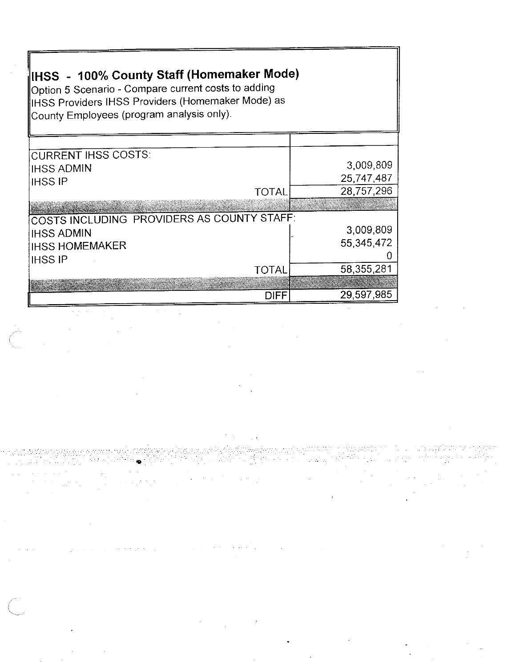| IHSS - 100% County Staff (Homemaker Mode)<br>Option 5 Scenario - Compare current costs to adding<br>IIHSS Providers IHSS Providers (Homemaker Mode) as<br>County Employees (program analysis only). |                                         |  |  |  |
|-----------------------------------------------------------------------------------------------------------------------------------------------------------------------------------------------------|-----------------------------------------|--|--|--|
| <b>CURRENT IHSS COSTS:</b><br><b>IHSS ADMIN</b><br><b>IHSS IP</b><br><b>TOTAL</b>                                                                                                                   | 3,009,809<br>25,747,487<br>28,757,296   |  |  |  |
| COSTS INCLUDING PROVIDERS AS COUNTY STAFF:<br><b>IHSS ADMIN</b><br><b>IHSS HOMEMAKER</b><br><b>IHSS IP</b><br><b>TOTAL</b>                                                                          | 3,009,809<br>55, 345, 472<br>58,355,281 |  |  |  |
| DIFF                                                                                                                                                                                                | 29,597,985                              |  |  |  |

 $\mathcal{L}^{\text{max}}_{\text{max}}$ 

 $\sim 0.01$ 

 $\Delta \phi$  is the state of the state of the state of the state  $\phi$  . The state of  $\phi$ 

 $\sim$ 

 $\sim 10^{-10}$ 

 $\sim 10^{11}$  km s  $^{-1}$ 

 $\label{eq:3.1} \begin{array}{l} \mathcal{F}_{\mathcal{A}}^{\mathcal{A}} \left( \mathcal{F}_{\mathcal{A}}^{\mathcal{A}} \right) = \mathcal{F}_{\mathcal{A}}^{\mathcal{A}} \end{array}$ 

 $\hat{\boldsymbol{\alpha}}$ 

 $\sigma_{\rm c}$  ,  $\sigma_{\rm c}$  ,  $\sigma_{\rm c}$ 

 $\mathcal{L}_{\text{max}}$  ,  $\mathcal{L}_{\text{max}}$ 

 $\sim 10^{-1}$ 

 $\mathcal{L}_{\mathcal{D}}$  is a set of the set of the transformation  $\mathcal{L}_{\mathcal{D}}$ 

 $\sim 10$ 

 $\Delta\sim 10$ 

 $\mathcal{L}(\mathcal{A})$  and  $\mathcal{L}(\mathcal{A})$  and  $\mathcal{L}(\mathcal{A})$